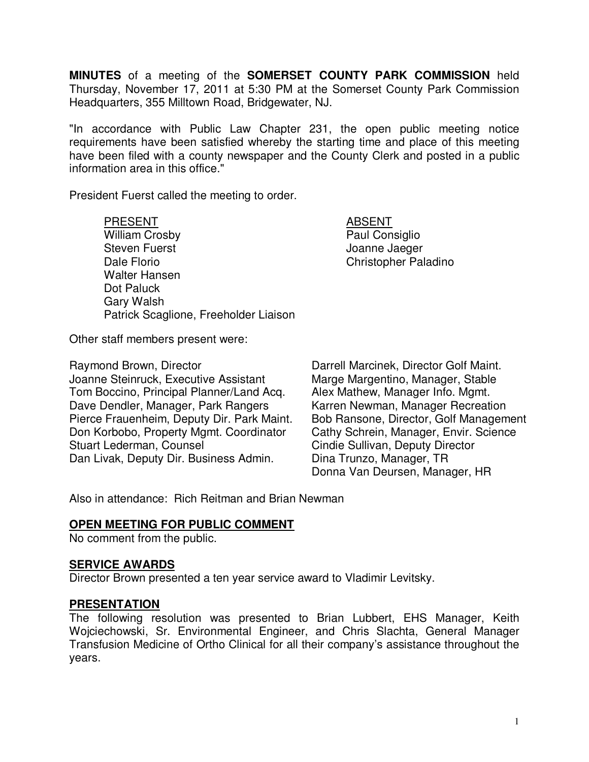**MINUTES** of a meeting of the **SOMERSET COUNTY PARK COMMISSION** held Thursday, November 17, 2011 at 5:30 PM at the Somerset County Park Commission Headquarters, 355 Milltown Road, Bridgewater, NJ.

"In accordance with Public Law Chapter 231, the open public meeting notice requirements have been satisfied whereby the starting time and place of this meeting have been filed with a county newspaper and the County Clerk and posted in a public information area in this office."

President Fuerst called the meeting to order.

PRESENT ABSENT William Crosby **Paul Consiglio** Steven Fuerst **Grand Communist Communist Communist Communist Communist Communist Communist Communist Communist Communist Communist Communist Communist Communist Communist Communist Communist Communist Communist Communist C** Dale Florio **Christopher Paladino**  Walter Hansen Dot Paluck Gary Walsh Patrick Scaglione, Freeholder Liaison

Other staff members present were:

Raymond Brown, Director **Darrell Marcinek, Director Golf Maint.** Joanne Steinruck, Executive Assistant Marge Margentino, Manager, Stable Tom Boccino, Principal Planner/Land Acq. Alex Mathew, Manager Info. Mgmt. Dave Dendler, Manager, Park Rangers Karren Newman, Manager Recreation<br>Pierce Frauenheim. Deputy Dir. Park Maint. Bob Ransone. Director. Golf Management Pierce Frauenheim, Deputy Dir. Park Maint. Don Korbobo, Property Mgmt. Coordinator Cathy Schrein, Manager, Envir. Science Stuart Lederman, Counsel **Conservant Counsel Cindie Sullivan**, Deputy Director Dan Livak, Deputy Dir. Business Admin. Dina Trunzo, Manager, TR

Donna Van Deursen, Manager, HR

Also in attendance: Rich Reitman and Brian Newman

## **OPEN MEETING FOR PUBLIC COMMENT**

No comment from the public.

### **SERVICE AWARDS**

Director Brown presented a ten year service award to Vladimir Levitsky.

### **PRESENTATION**

The following resolution was presented to Brian Lubbert, EHS Manager, Keith Wojciechowski, Sr. Environmental Engineer, and Chris Slachta, General Manager Transfusion Medicine of Ortho Clinical for all their company's assistance throughout the years.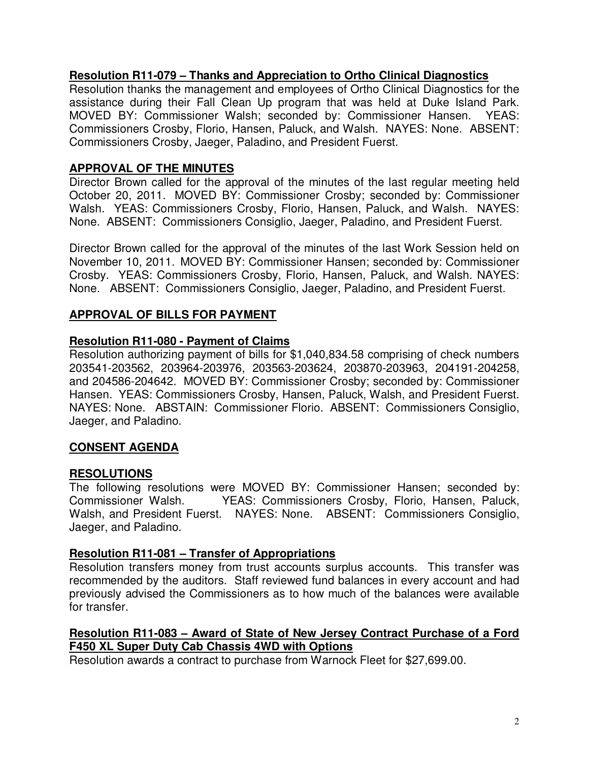# **Resolution R11-079 – Thanks and Appreciation to Ortho Clinical Diagnostics**

Resolution thanks the management and employees of Ortho Clinical Diagnostics for the assistance during their Fall Clean Up program that was held at Duke Island Park. MOVED BY: Commissioner Walsh; seconded by: Commissioner Hansen. YEAS: Commissioners Crosby, Florio, Hansen, Paluck, and Walsh. NAYES: None. ABSENT: Commissioners Crosby, Jaeger, Paladino, and President Fuerst.

# **APPROVAL OF THE MINUTES**

Director Brown called for the approval of the minutes of the last regular meeting held October 20, 2011. MOVED BY: Commissioner Crosby; seconded by: Commissioner Walsh. YEAS: Commissioners Crosby, Florio, Hansen, Paluck, and Walsh. NAYES: None. ABSENT: Commissioners Consiglio, Jaeger, Paladino, and President Fuerst.

Director Brown called for the approval of the minutes of the last Work Session held on November 10, 2011. MOVED BY: Commissioner Hansen; seconded by: Commissioner Crosby. YEAS: Commissioners Crosby, Florio, Hansen, Paluck, and Walsh. NAYES: None. ABSENT: Commissioners Consiglio, Jaeger, Paladino, and President Fuerst.

# **APPROVAL OF BILLS FOR PAYMENT**

## **Resolution R11-080 - Payment of Claims**

Resolution authorizing payment of bills for \$1,040,834.58 comprising of check numbers 203541-203562, 203964-203976, 203563-203624, 203870-203963, 204191-204258, and 204586-204642. MOVED BY: Commissioner Crosby; seconded by: Commissioner Hansen. YEAS: Commissioners Crosby, Hansen, Paluck, Walsh, and President Fuerst. NAYES: None. ABSTAIN: Commissioner Florio. ABSENT: Commissioners Consiglio, Jaeger, and Paladino.

## **CONSENT AGENDA**

## **RESOLUTIONS**

The following resolutions were MOVED BY: Commissioner Hansen; seconded by: Commissioner Walsh. YEAS: Commissioners Crosby, Florio, Hansen, Paluck, Walsh, and President Fuerst. NAYES: None. ABSENT: Commissioners Consiglio, Jaeger, and Paladino.

### **Resolution R11-081 – Transfer of Appropriations**

Resolution transfers money from trust accounts surplus accounts. This transfer was recommended by the auditors. Staff reviewed fund balances in every account and had previously advised the Commissioners as to how much of the balances were available for transfer.

## **Resolution R11-083 – Award of State of New Jersey Contract Purchase of a Ford F450 XL Super Duty Cab Chassis 4WD with Options**

Resolution awards a contract to purchase from Warnock Fleet for \$27,699.00.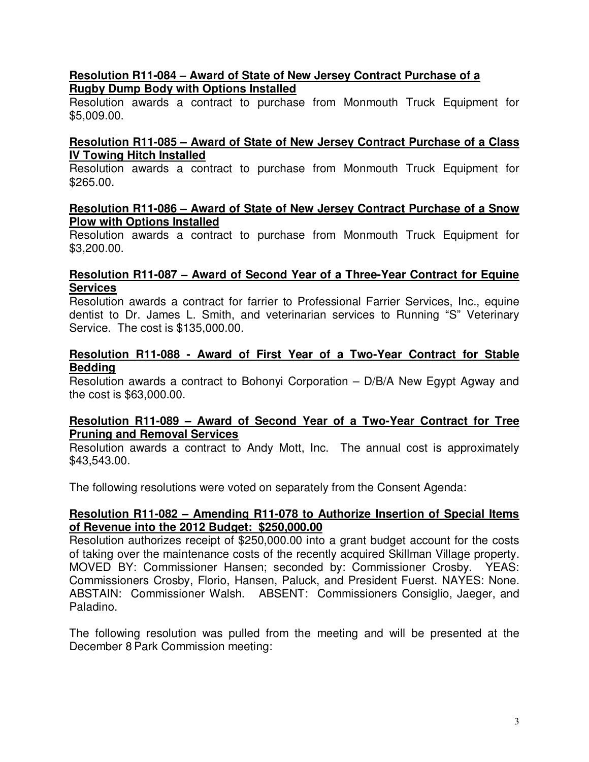## **Resolution R11-084 – Award of State of New Jersey Contract Purchase of a Rugby Dump Body with Options Installed**

Resolution awards a contract to purchase from Monmouth Truck Equipment for \$5,009.00.

## **Resolution R11-085 – Award of State of New Jersey Contract Purchase of a Class IV Towing Hitch Installed**

Resolution awards a contract to purchase from Monmouth Truck Equipment for \$265.00.

### **Resolution R11-086 – Award of State of New Jersey Contract Purchase of a Snow Plow with Options Installed**

Resolution awards a contract to purchase from Monmouth Truck Equipment for \$3,200.00.

### **Resolution R11-087 – Award of Second Year of a Three-Year Contract for Equine Services**

Resolution awards a contract for farrier to Professional Farrier Services, Inc., equine dentist to Dr. James L. Smith, and veterinarian services to Running "S" Veterinary Service. The cost is \$135,000.00.

### **Resolution R11-088 - Award of First Year of a Two-Year Contract for Stable Bedding**

Resolution awards a contract to Bohonyi Corporation – D/B/A New Egypt Agway and the cost is \$63,000.00.

#### **Resolution R11-089 – Award of Second Year of a Two-Year Contract for Tree Pruning and Removal Services**

Resolution awards a contract to Andy Mott, Inc. The annual cost is approximately \$43,543.00.

The following resolutions were voted on separately from the Consent Agenda:

### **Resolution R11-082 – Amending R11-078 to Authorize Insertion of Special Items of Revenue into the 2012 Budget: \$250,000.00**

Resolution authorizes receipt of \$250,000.00 into a grant budget account for the costs of taking over the maintenance costs of the recently acquired Skillman Village property. MOVED BY: Commissioner Hansen; seconded by: Commissioner Crosby. YEAS: Commissioners Crosby, Florio, Hansen, Paluck, and President Fuerst. NAYES: None. ABSTAIN: Commissioner Walsh. ABSENT: Commissioners Consiglio, Jaeger, and Paladino.

The following resolution was pulled from the meeting and will be presented at the December 8 Park Commission meeting: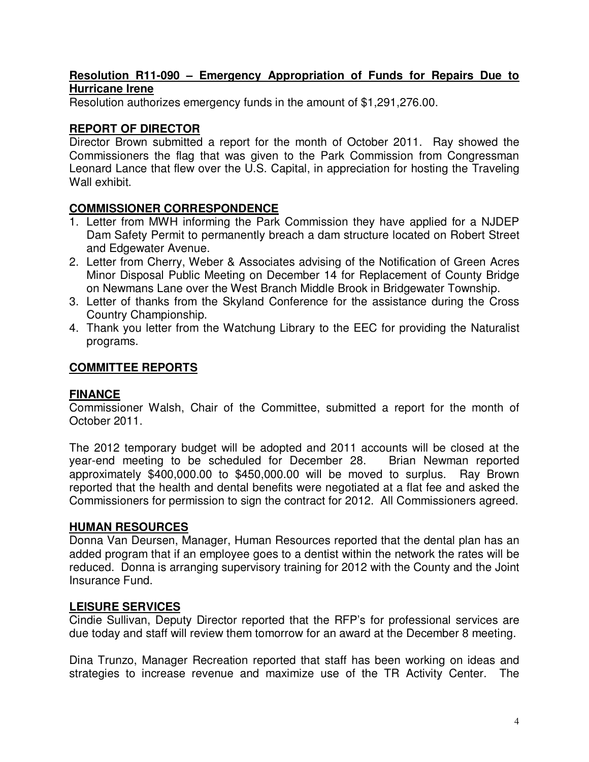## **Resolution R11-090 – Emergency Appropriation of Funds for Repairs Due to Hurricane Irene**

Resolution authorizes emergency funds in the amount of \$1,291,276.00.

# **REPORT OF DIRECTOR**

Director Brown submitted a report for the month of October 2011. Ray showed the Commissioners the flag that was given to the Park Commission from Congressman Leonard Lance that flew over the U.S. Capital, in appreciation for hosting the Traveling Wall exhibit.

# **COMMISSIONER CORRESPONDENCE**

- 1. Letter from MWH informing the Park Commission they have applied for a NJDEP Dam Safety Permit to permanently breach a dam structure located on Robert Street and Edgewater Avenue.
- 2. Letter from Cherry, Weber & Associates advising of the Notification of Green Acres Minor Disposal Public Meeting on December 14 for Replacement of County Bridge on Newmans Lane over the West Branch Middle Brook in Bridgewater Township.
- 3. Letter of thanks from the Skyland Conference for the assistance during the Cross Country Championship.
- 4. Thank you letter from the Watchung Library to the EEC for providing the Naturalist programs.

# **COMMITTEE REPORTS**

## **FINANCE**

Commissioner Walsh, Chair of the Committee, submitted a report for the month of October 2011.

The 2012 temporary budget will be adopted and 2011 accounts will be closed at the year-end meeting to be scheduled for December 28. Brian Newman reported approximately \$400,000.00 to \$450,000.00 will be moved to surplus. Ray Brown reported that the health and dental benefits were negotiated at a flat fee and asked the Commissioners for permission to sign the contract for 2012. All Commissioners agreed.

## **HUMAN RESOURCES**

Donna Van Deursen, Manager, Human Resources reported that the dental plan has an added program that if an employee goes to a dentist within the network the rates will be reduced. Donna is arranging supervisory training for 2012 with the County and the Joint Insurance Fund.

## **LEISURE SERVICES**

Cindie Sullivan, Deputy Director reported that the RFP's for professional services are due today and staff will review them tomorrow for an award at the December 8 meeting.

Dina Trunzo, Manager Recreation reported that staff has been working on ideas and strategies to increase revenue and maximize use of the TR Activity Center. The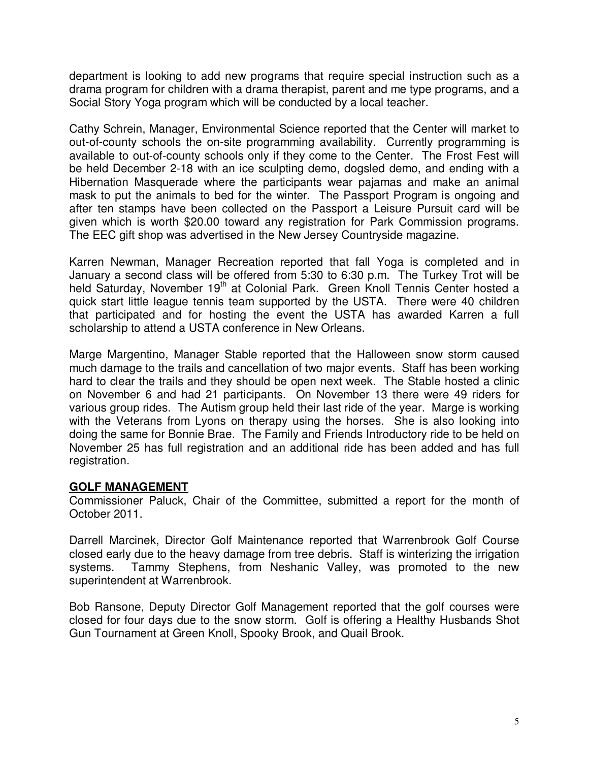department is looking to add new programs that require special instruction such as a drama program for children with a drama therapist, parent and me type programs, and a Social Story Yoga program which will be conducted by a local teacher.

Cathy Schrein, Manager, Environmental Science reported that the Center will market to out-of-county schools the on-site programming availability. Currently programming is available to out-of-county schools only if they come to the Center. The Frost Fest will be held December 2-18 with an ice sculpting demo, dogsled demo, and ending with a Hibernation Masquerade where the participants wear pajamas and make an animal mask to put the animals to bed for the winter. The Passport Program is ongoing and after ten stamps have been collected on the Passport a Leisure Pursuit card will be given which is worth \$20.00 toward any registration for Park Commission programs. The EEC gift shop was advertised in the New Jersey Countryside magazine.

Karren Newman, Manager Recreation reported that fall Yoga is completed and in January a second class will be offered from 5:30 to 6:30 p.m. The Turkey Trot will be held Saturday, November 19<sup>th</sup> at Colonial Park. Green Knoll Tennis Center hosted a quick start little league tennis team supported by the USTA. There were 40 children that participated and for hosting the event the USTA has awarded Karren a full scholarship to attend a USTA conference in New Orleans.

Marge Margentino, Manager Stable reported that the Halloween snow storm caused much damage to the trails and cancellation of two major events. Staff has been working hard to clear the trails and they should be open next week. The Stable hosted a clinic on November 6 and had 21 participants. On November 13 there were 49 riders for various group rides. The Autism group held their last ride of the year. Marge is working with the Veterans from Lyons on therapy using the horses. She is also looking into doing the same for Bonnie Brae. The Family and Friends Introductory ride to be held on November 25 has full registration and an additional ride has been added and has full registration.

## **GOLF MANAGEMENT**

Commissioner Paluck, Chair of the Committee, submitted a report for the month of October 2011.

Darrell Marcinek, Director Golf Maintenance reported that Warrenbrook Golf Course closed early due to the heavy damage from tree debris. Staff is winterizing the irrigation systems. Tammy Stephens, from Neshanic Valley, was promoted to the new superintendent at Warrenbrook.

Bob Ransone, Deputy Director Golf Management reported that the golf courses were closed for four days due to the snow storm. Golf is offering a Healthy Husbands Shot Gun Tournament at Green Knoll, Spooky Brook, and Quail Brook.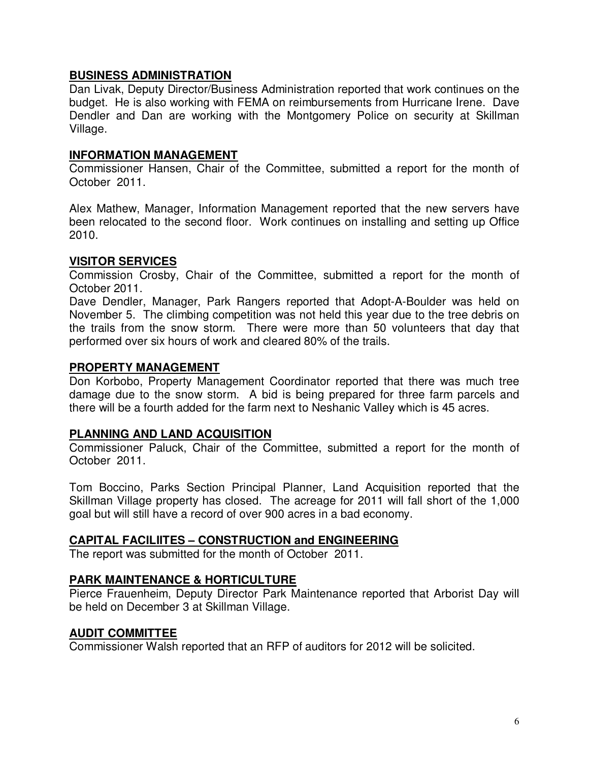## **BUSINESS ADMINISTRATION**

Dan Livak, Deputy Director/Business Administration reported that work continues on the budget. He is also working with FEMA on reimbursements from Hurricane Irene. Dave Dendler and Dan are working with the Montgomery Police on security at Skillman Village.

## **INFORMATION MANAGEMENT**

Commissioner Hansen, Chair of the Committee, submitted a report for the month of October 2011.

Alex Mathew, Manager, Information Management reported that the new servers have been relocated to the second floor. Work continues on installing and setting up Office 2010.

### **VISITOR SERVICES**

Commission Crosby, Chair of the Committee, submitted a report for the month of October 2011.

Dave Dendler, Manager, Park Rangers reported that Adopt-A-Boulder was held on November 5. The climbing competition was not held this year due to the tree debris on the trails from the snow storm. There were more than 50 volunteers that day that performed over six hours of work and cleared 80% of the trails.

### **PROPERTY MANAGEMENT**

Don Korbobo, Property Management Coordinator reported that there was much tree damage due to the snow storm. A bid is being prepared for three farm parcels and there will be a fourth added for the farm next to Neshanic Valley which is 45 acres.

### **PLANNING AND LAND ACQUISITION**

Commissioner Paluck, Chair of the Committee, submitted a report for the month of October 2011.

Tom Boccino, Parks Section Principal Planner, Land Acquisition reported that the Skillman Village property has closed. The acreage for 2011 will fall short of the 1,000 goal but will still have a record of over 900 acres in a bad economy.

## **CAPITAL FACILIITES – CONSTRUCTION and ENGINEERING**

The report was submitted for the month of October 2011.

### **PARK MAINTENANCE & HORTICULTURE**

Pierce Frauenheim, Deputy Director Park Maintenance reported that Arborist Day will be held on December 3 at Skillman Village.

### **AUDIT COMMITTEE**

Commissioner Walsh reported that an RFP of auditors for 2012 will be solicited.